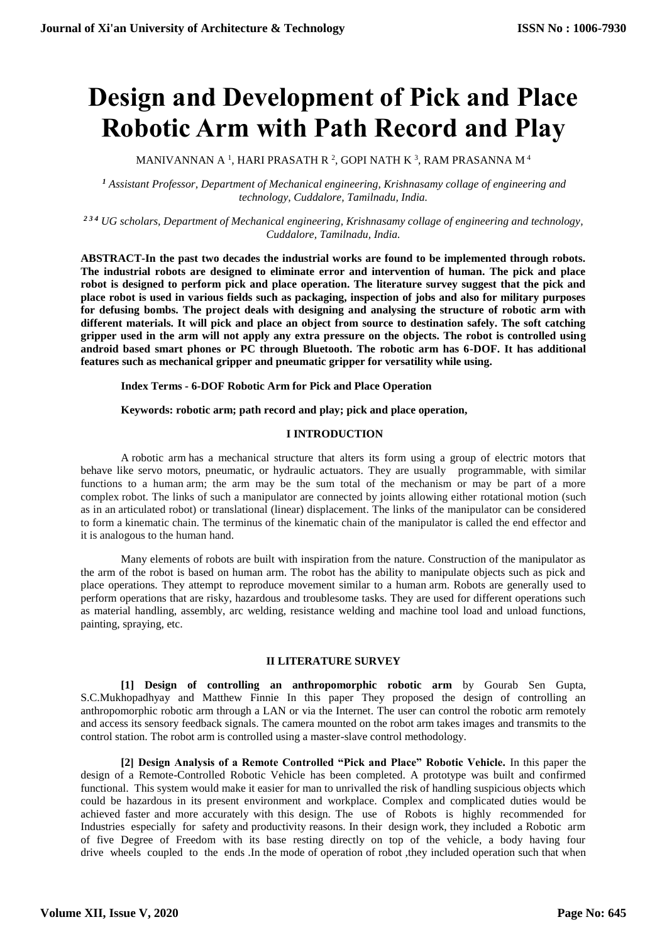# **Design and Development of Pick and Place Robotic Arm with Path Record and Play**

MANIVANNAN A  $^1$ , HARI PRASATH R  $^2$ , GOPI NATH K  $^3$ , RAM PRASANNA M  $^4$ 

*<sup>1</sup> Assistant Professor, Department of Mechanical engineering, Krishnasamy collage of engineering and technology, Cuddalore, Tamilnadu, India.*

*2 3 4 UG scholars, Department of Mechanical engineering, Krishnasamy collage of engineering and technology, Cuddalore, Tamilnadu, India.*

**ABSTRACT-In the past two decades the industrial works are found to be implemented through robots. The industrial robots are designed to eliminate error and intervention of human. The pick and place robot is designed to perform pick and place operation. The literature survey suggest that the pick and place robot is used in various fields such as packaging, inspection of jobs and also for military purposes for defusing bombs. The project deals with designing and analysing the structure of robotic arm with different materials. It will pick and place an object from source to destination safely. The soft catching gripper used in the arm will not apply any extra pressure on the objects. The robot is controlled using android based smart phones or PC through Bluetooth. The robotic arm has 6-DOF. It has additional features such as mechanical gripper and pneumatic gripper for versatility while using.** 

**Index Terms - 6-DOF Robotic Arm for Pick and Place Operation** 

**Keywords: robotic arm; path record and play; pick and place operation,**

## **I INTRODUCTION**

A robotic arm has a mechanical structure that alters its form using a group of electric motors that behave like servo motors, pneumatic, or hydraulic actuators. They are usually programmable, with similar functions to a human arm; the arm may be the sum total of the mechanism or may be part of a more complex robot. The links of such a manipulator are connected by joints allowing either rotational motion (such as in an articulated robot) or translational (linear) displacement. The links of the manipulator can be considered to form a kinematic chain. The terminus of the kinematic chain of the manipulator is called the end effector and it is analogous to the human hand.

Many elements of robots are built with inspiration from the nature. Construction of the manipulator as the arm of the robot is based on human arm. The robot has the ability to manipulate objects such as pick and place operations. They attempt to reproduce movement similar to a human arm. Robots are generally used to perform operations that are risky, hazardous and troublesome tasks. They are used for different operations such as material handling, assembly, arc welding, resistance welding and machine tool load and unload functions, painting, spraying, etc.

### **II LITERATURE SURVEY**

**[1] Design of controlling an anthropomorphic robotic arm** by Gourab Sen Gupta, S.C.Mukhopadhyay and Matthew Finnie In this paper They proposed the design of controlling an anthropomorphic robotic arm through a LAN or via the Internet. The user can control the robotic arm remotely and access its sensory feedback signals. The camera mounted on the robot arm takes images and transmits to the control station. The robot arm is controlled using a master-slave control methodology.

**[2] Design Analysis of a Remote Controlled "Pick and Place" Robotic Vehicle.** In this paper the design of a Remote-Controlled Robotic Vehicle has been completed. A prototype was built and confirmed functional. This system would make it easier for man to unrivalled the risk of handling suspicious objects which could be hazardous in its present environment and workplace. Complex and complicated duties would be achieved faster and more accurately with this design. The use of Robots is highly recommended for Industries especially for safety and productivity reasons. In their design work, they included a Robotic arm of five Degree of Freedom with its base resting directly on top of the vehicle, a body having four drive wheels coupled to the ends .In the mode of operation of robot ,they included operation such that when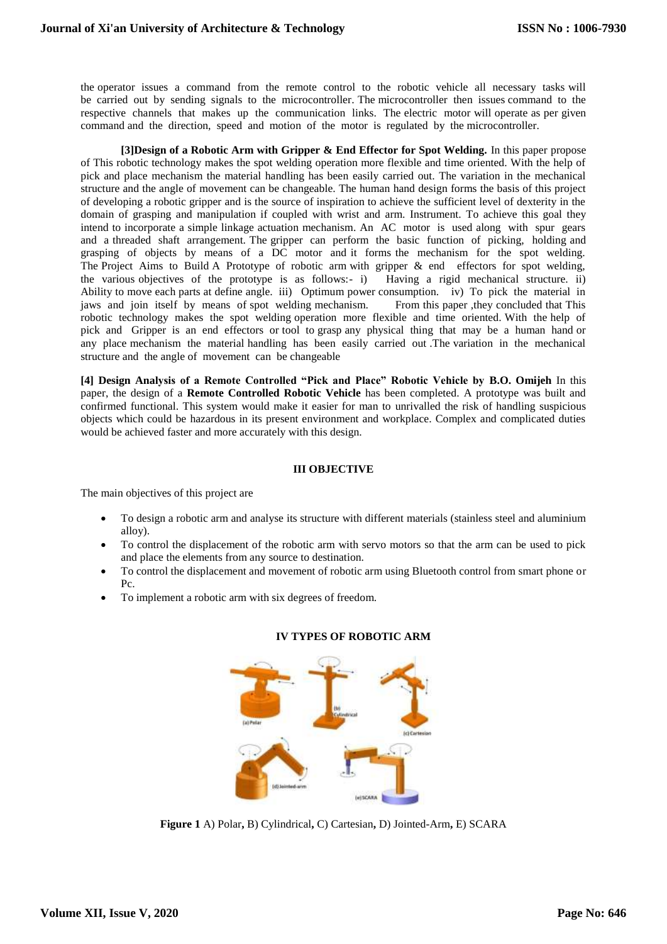the operator issues a command from the remote control to the robotic vehicle all necessary tasks will be carried out by sending signals to the microcontroller. The microcontroller then issues command to the respective channels that makes up the communication links. The electric motor will operate as per given command and the direction, speed and motion of the motor is regulated by the microcontroller.

**[3]Design of a Robotic Arm with Gripper & End Effector for Spot Welding.** In this paper propose of This robotic technology makes the spot welding operation more flexible and time oriented. With the help of pick and place mechanism the material handling has been easily carried out. The variation in the mechanical structure and the angle of movement can be changeable. The human hand design forms the basis of this project of developing a robotic gripper and is the source of inspiration to achieve the sufficient level of dexterity in the domain of grasping and manipulation if coupled with wrist and arm. Instrument. To achieve this goal they intend to incorporate a simple linkage actuation mechanism. An AC motor is used along with spur gears and a threaded shaft arrangement. The gripper can perform the basic function of picking, holding and grasping of objects by means of a DC motor and it forms the mechanism for the spot welding. The Project Aims to Build A Prototype of robotic arm with gripper & end effectors for spot welding, the various objectives of the prototype is as follows:- i) Having a rigid mechanical structure. ii) Ability to move each parts at define angle. iii) Optimum power consumption. iv) To pick the material in jaws and join itself by means of spot welding mechanism. From this paper ,they concluded that This robotic technology makes the spot welding operation more flexible and time oriented. With the help of pick and Gripper is an end effectors or tool to grasp any physical thing that may be a human hand or any place mechanism the material handling has been easily carried out .The variation in the mechanical structure and the angle of movement can be changeable

**[4] Design Analysis of a Remote Controlled "Pick and Place" Robotic Vehicle by B.O. Omijeh** In this paper, the design of a **Remote Controlled Robotic Vehicle** has been completed. A prototype was built and confirmed functional. This system would make it easier for man to unrivalled the risk of handling suspicious objects which could be hazardous in its present environment and workplace. Complex and complicated duties would be achieved faster and more accurately with this design.

## **III OBJECTIVE**

The main objectives of this project are

- To design a robotic arm and analyse its structure with different materials (stainless steel and aluminium alloy).
- To control the displacement of the robotic arm with servo motors so that the arm can be used to pick and place the elements from any source to destination.
- To control the displacement and movement of robotic arm using Bluetooth control from smart phone or Pc.
- To implement a robotic arm with six degrees of freedom.



# **IV TYPES OF ROBOTIC ARM**

**Figure 1** A) Polar**,** B) Cylindrical**,** C) Cartesian**,** D) Jointed-Arm**,** E) SCARA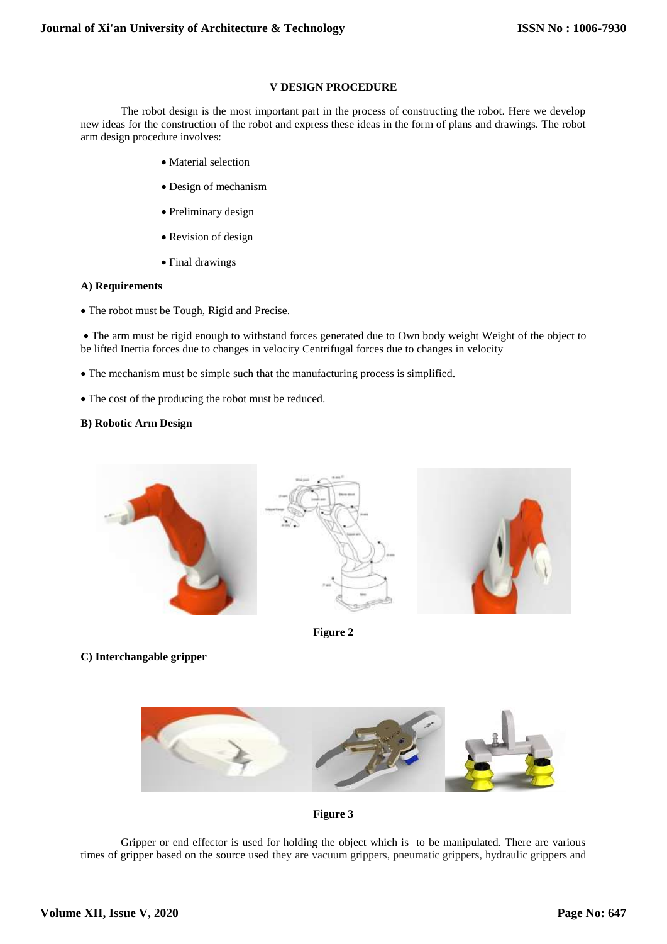# **V DESIGN PROCEDURE**

The robot design is the most important part in the process of constructing the robot. Here we develop new ideas for the construction of the robot and express these ideas in the form of plans and drawings. The robot arm design procedure involves:

- Material selection
- Design of mechanism
- Preliminary design
- Revision of design
- Final drawings

#### **A) Requirements**

• The robot must be Tough, Rigid and Precise.

 The arm must be rigid enough to withstand forces generated due to Own body weight Weight of the object to be lifted Inertia forces due to changes in velocity Centrifugal forces due to changes in velocity

- The mechanism must be simple such that the manufacturing process is simplified.
- The cost of the producing the robot must be reduced.

## **B) Robotic Arm Design**



**Figure 2**

**C) Interchangable gripper**





Gripper or end effector is used for holding the object which is to be manipulated. There are various times of gripper based on the source used they are vacuum grippers, pneumatic grippers, hydraulic grippers and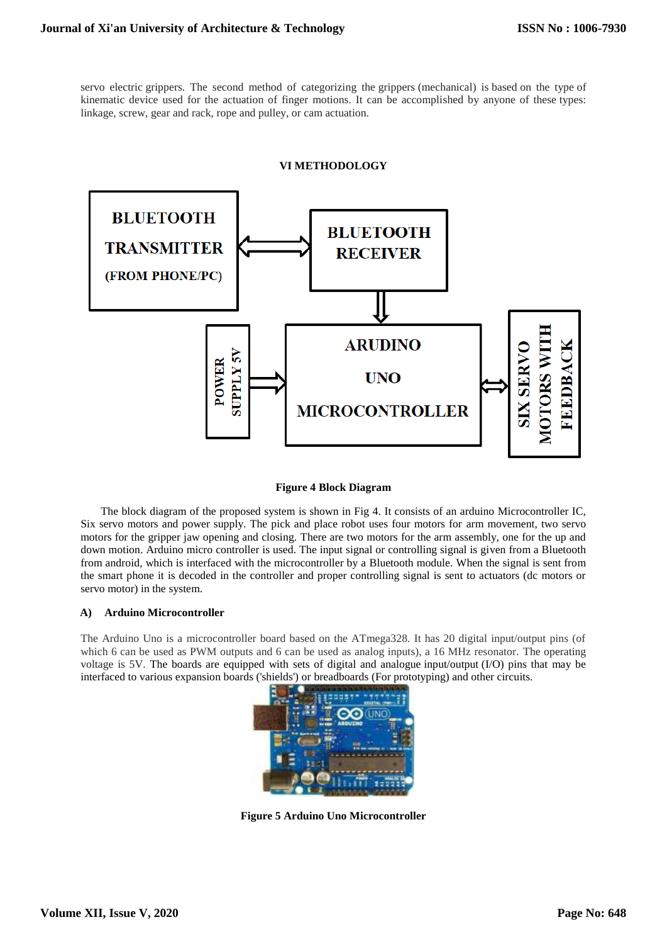servo electric grippers. The second method of categorizing the grippers (mechanical) is based on the type of kinematic device used for the actuation of finger motions. It can be accomplished by anyone of these types: linkage, screw, gear and rack, rope and pulley, or cam actuation.

#### **VI METHODOLOGY**



#### **Figure 4 Block Diagram**

The block diagram of the proposed system is shown in Fig 4. It consists of an arduino Microcontroller IC, Six servo motors and power supply. The pick and place robot uses four motors for arm movement, two servo motors for the gripper jaw opening and closing. There are two motors for the arm assembly, one for the up and down motion. Arduino micro controller is used. The input signal or controlling signal is given from a Bluetooth from android, which is interfaced with the microcontroller by a Bluetooth module. When the signal is sent from the smart phone it is decoded in the controller and proper controlling signal is sent to actuators (dc motors or servo motor) in the system.

#### **A) Arduino Microcontroller**

The Arduino Uno is a microcontroller board based on the ATmega328. It has 20 digital input/output pins (of which 6 can be used as PWM outputs and 6 can be used as analog inputs), a 16 MHz resonator. The operating voltage is 5V. The boards are equipped with sets of digital and analogue [input/output](about:blank) (I/O) pins that may be interfaced to various expansion boards ('shields') or [breadboards](about:blank) (For prototyping) and other circuits.



**Figure 5 Arduino Uno Microcontroller**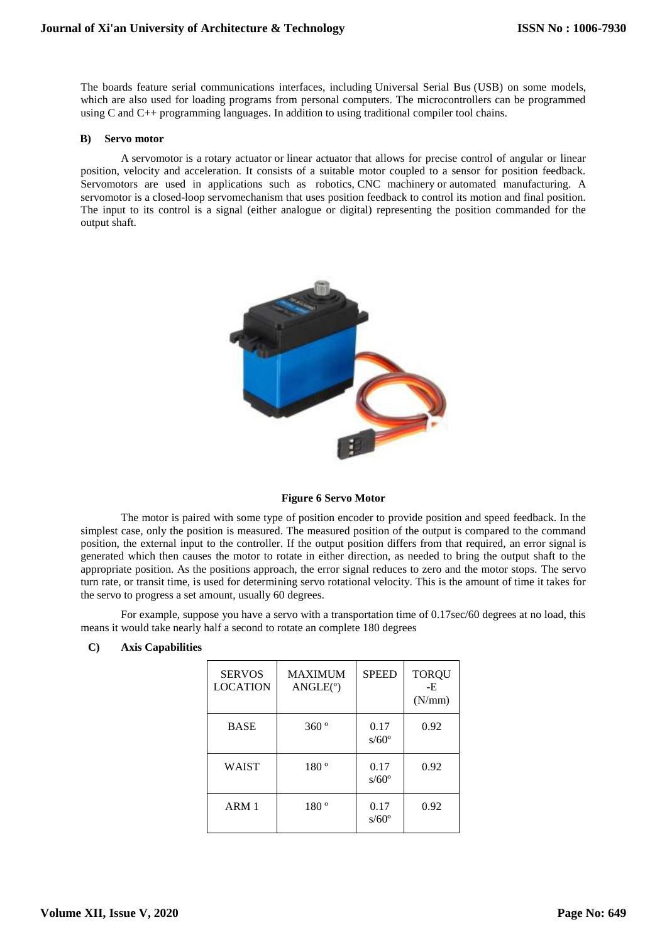The boards feature serial communications interfaces, including [Universal Serial Bus](about:blank) (USB) on some models, which are also used for loading programs from personal computers. The microcontrollers can be programmed using [C](about:blank) and [C++](about:blank) [programming languages.](about:blank) In addition to using traditional [compiler](about:blank) [tool chains.](about:blank)

#### **B) Servo motor**

A servomotor is a [rotary actuator](about:blank) or [linear actuator](about:blank) that allows for precise control of angular or linear position, velocity and acceleration. It consists of a suitable motor coupled to a sensor for position feedback. Servomotors are used in applications such as [robotics,](about:blank) [CNC machinery](about:blank) or [automated manufacturing.](about:blank) A servomotor is a [closed-loop](about:blank) [servomechanism](about:blank) that uses position feedback to control its motion and final position. The input to its control is a signal (either analogue or digital) representing the position commanded for the output shaft.



#### **Figure 6 Servo Motor**

The motor is paired with some type of [position encoder](about:blank) to provide position and speed feedback. In the simplest case, only the position is measured. The measured position of the output is compared to the command position, the external input to the controller. If the output position differs from that required, an [error signal](about:blank) is generated which then causes the motor to rotate in either direction, as needed to bring the output shaft to the appropriate position. As the positions approach, the error signal reduces to zero and the motor stops. The servo turn rate, or transit time, is used for determining servo rotational velocity. This is the amount of time it takes for the servo to progress a set amount, usually 60 degrees.

For example, suppose you have a servo with a transportation time of 0.17sec/60 degrees at no load, this means it would take nearly half a second to rotate an complete 180 degrees

| <b>SERVOS</b><br><b>LOCATION</b> | <b>MAXIMUM</b><br>ANGLE(°) | <b>SPEED</b>           | <b>TORQU</b><br>-E<br>(N/mm) |
|----------------------------------|----------------------------|------------------------|------------------------------|
| <b>BASE</b>                      | 360°                       | 0.17<br>$s/60^{\circ}$ | 0.92                         |
| <b>WAIST</b>                     | 180°                       | 0.17<br>$s/60^{\circ}$ | 0.92                         |
| ARM 1                            | 180°                       | 0.17<br>$s/60^{\circ}$ | 0.92                         |

# **C) Axis Capabilities**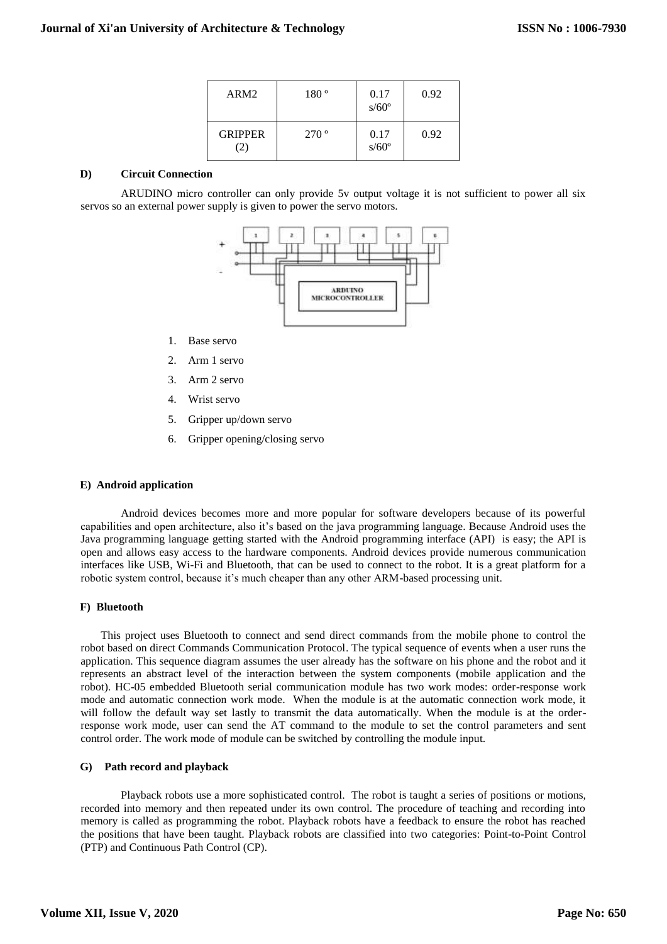| ARM <sub>2</sub>      | 180°          | 0.17<br>$s/60^{\circ}$ | 0.92 |
|-----------------------|---------------|------------------------|------|
| <b>GRIPPER</b><br>(2) | $270^{\circ}$ | 0.17<br>$s/60^{\circ}$ | 0.92 |

# **D) Circuit Connection**

ARUDINO micro controller can only provide 5v output voltage it is not sufficient to power all six servos so an external power supply is given to power the servo motors.



- 1. Base servo
- 2. Arm 1 servo
- 3. Arm 2 servo
- 4. Wrist servo
- 5. Gripper up/down servo
- 6. Gripper opening/closing servo

# **E) Android application**

Android devices becomes more and more popular for software developers because of its powerful capabilities and open architecture, also it's based on the java programming language. Because Android uses the Java programming language getting started with the Android programming interface (API) is easy; the API is open and allows easy access to the hardware components. Android devices provide numerous communication interfaces like USB, Wi-Fi and Bluetooth, that can be used to connect to the robot. It is a great platform for a robotic system control, because it's much cheaper than any other ARM-based processing unit.

#### **F) Bluetooth**

This project uses Bluetooth to connect and send direct commands from the mobile phone to control the robot based on direct Commands Communication Protocol. The typical sequence of events when a user runs the application. This sequence diagram assumes the user already has the software on his phone and the robot and it represents an abstract level of the interaction between the system components (mobile application and the robot). HC-05 embedded Bluetooth serial communication module has two work modes: order-response work mode and automatic connection work mode. When the module is at the automatic connection work mode, it will follow the default way set lastly to transmit the data automatically. When the module is at the orderresponse work mode, user can send the AT command to the module to set the control parameters and sent control order. The work mode of module can be switched by controlling the module input.

#### **G) Path record and playback**

Playback robots use a more sophisticated control. The robot is taught a series of positions or motions, recorded into memory and then repeated under its own control. The procedure of teaching and recording into memory is called as programming the robot. Playback robots have a feedback to ensure the robot has reached the positions that have been taught. Playback robots are classified into two categories: Point-to-Point Control (PTP) and Continuous Path Control (CP).